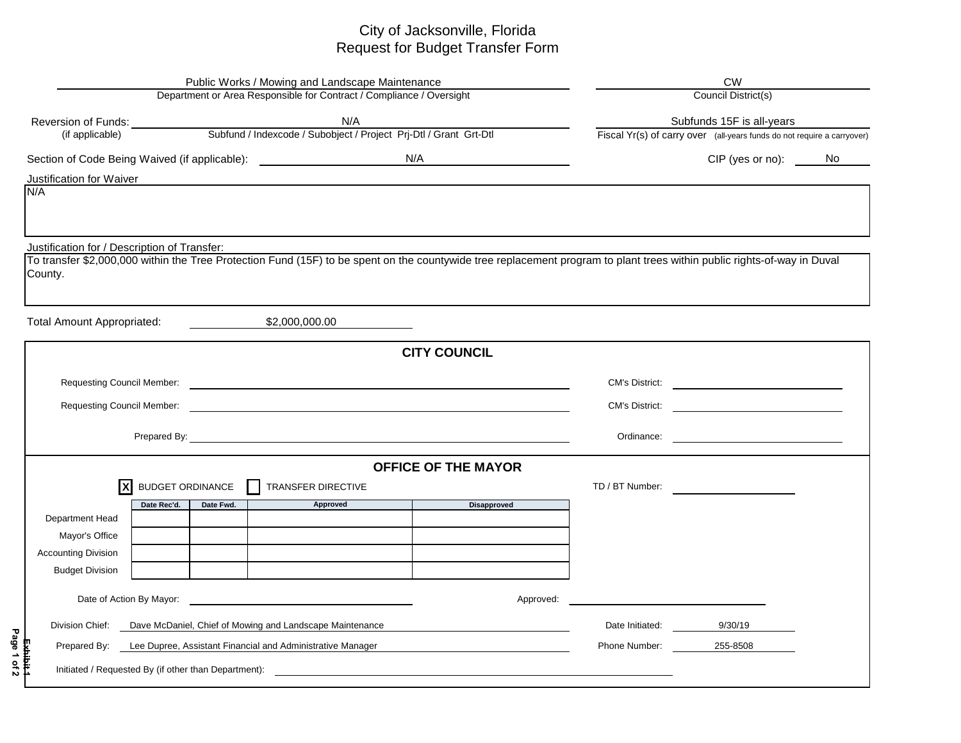## City of Jacksonville, Florida Request for Budget Transfer Form

| Public Works / Mowing and Landscape Maintenance                                                          |                                                                      |                                                                                                                                                                          |                                                           |                                                                         | <b>CW</b>                 |  |  |  |  |  |
|----------------------------------------------------------------------------------------------------------|----------------------------------------------------------------------|--------------------------------------------------------------------------------------------------------------------------------------------------------------------------|-----------------------------------------------------------|-------------------------------------------------------------------------|---------------------------|--|--|--|--|--|
|                                                                                                          | Department or Area Responsible for Contract / Compliance / Oversight | Council District(s)                                                                                                                                                      |                                                           |                                                                         |                           |  |  |  |  |  |
|                                                                                                          |                                                                      |                                                                                                                                                                          |                                                           |                                                                         | Subfunds 15F is all-years |  |  |  |  |  |
| Reversion of Funds:<br>(if applicable) Subfund / Indexcode / Subobject / Project Prj-Dtl / Grant Grt-Dtl |                                                                      |                                                                                                                                                                          |                                                           | Fiscal Yr(s) of carry over (all-years funds do not require a carryover) |                           |  |  |  |  |  |
|                                                                                                          |                                                                      | Section of Code Being Waived (if applicable): __________________________________<br>N/A                                                                                  |                                                           |                                                                         | CIP (yes or no): No       |  |  |  |  |  |
| Justification for Waiver                                                                                 |                                                                      |                                                                                                                                                                          |                                                           |                                                                         |                           |  |  |  |  |  |
| N/A                                                                                                      |                                                                      |                                                                                                                                                                          |                                                           |                                                                         |                           |  |  |  |  |  |
|                                                                                                          |                                                                      |                                                                                                                                                                          |                                                           |                                                                         |                           |  |  |  |  |  |
| Justification for / Description of Transfer:                                                             |                                                                      |                                                                                                                                                                          |                                                           |                                                                         |                           |  |  |  |  |  |
| County.                                                                                                  |                                                                      | To transfer \$2,000,000 within the Tree Protection Fund (15F) to be spent on the countywide tree replacement program to plant trees within public rights-of-way in Duval |                                                           |                                                                         |                           |  |  |  |  |  |
|                                                                                                          |                                                                      |                                                                                                                                                                          |                                                           |                                                                         |                           |  |  |  |  |  |
|                                                                                                          |                                                                      |                                                                                                                                                                          |                                                           |                                                                         |                           |  |  |  |  |  |
| <b>Total Amount Appropriated:</b>                                                                        |                                                                      | \$2,000,000.00                                                                                                                                                           |                                                           |                                                                         |                           |  |  |  |  |  |
|                                                                                                          |                                                                      |                                                                                                                                                                          | <b>CITY COUNCIL</b>                                       |                                                                         |                           |  |  |  |  |  |
|                                                                                                          |                                                                      |                                                                                                                                                                          |                                                           | <b>CM's District:</b>                                                   |                           |  |  |  |  |  |
|                                                                                                          |                                                                      |                                                                                                                                                                          |                                                           | <b>CM's District:</b>                                                   |                           |  |  |  |  |  |
|                                                                                                          |                                                                      |                                                                                                                                                                          |                                                           |                                                                         |                           |  |  |  |  |  |
|                                                                                                          |                                                                      |                                                                                                                                                                          |                                                           | Ordinance:                                                              |                           |  |  |  |  |  |
|                                                                                                          |                                                                      |                                                                                                                                                                          | <b>OFFICE OF THE MAYOR</b>                                |                                                                         |                           |  |  |  |  |  |
| X                                                                                                        | <b>BUDGET ORDINANCE</b>                                              | TRANSFER DIRECTIVE                                                                                                                                                       |                                                           | TD / BT Number:                                                         |                           |  |  |  |  |  |
|                                                                                                          | Date Rec'd.<br>Date Fwd.                                             | Approved                                                                                                                                                                 | <b>Disapproved</b>                                        |                                                                         |                           |  |  |  |  |  |
| Department Head<br>Mayor's Office                                                                        |                                                                      |                                                                                                                                                                          |                                                           |                                                                         |                           |  |  |  |  |  |
| <b>Accounting Division</b>                                                                               |                                                                      |                                                                                                                                                                          |                                                           |                                                                         |                           |  |  |  |  |  |
| <b>Budget Division</b>                                                                                   |                                                                      |                                                                                                                                                                          |                                                           |                                                                         |                           |  |  |  |  |  |
|                                                                                                          |                                                                      |                                                                                                                                                                          |                                                           |                                                                         |                           |  |  |  |  |  |
| Date of Action By Mayor:                                                                                 |                                                                      | <u> 1980 - Johann Stein, mars an dùthchan an Amhair Aonaich an t-</u>                                                                                                    | Approved:                                                 |                                                                         |                           |  |  |  |  |  |
| Division Chief:                                                                                          |                                                                      | Dave McDaniel, Chief of Mowing and Landscape Maintenance                                                                                                                 |                                                           | Date Initiated:                                                         | 9/30/19                   |  |  |  |  |  |
| Lee Dupree, Assistant Financial and Administrative Manager<br>Prepared By:                               |                                                                      |                                                                                                                                                                          |                                                           | Phone Number:                                                           | 255-8508                  |  |  |  |  |  |
|                                                                                                          | Initiated / Requested By (if other than Department):                 |                                                                                                                                                                          | <u> 1989 - John Stein, Amerikaansk politiker (* 1989)</u> |                                                                         |                           |  |  |  |  |  |
|                                                                                                          |                                                                      |                                                                                                                                                                          |                                                           |                                                                         |                           |  |  |  |  |  |